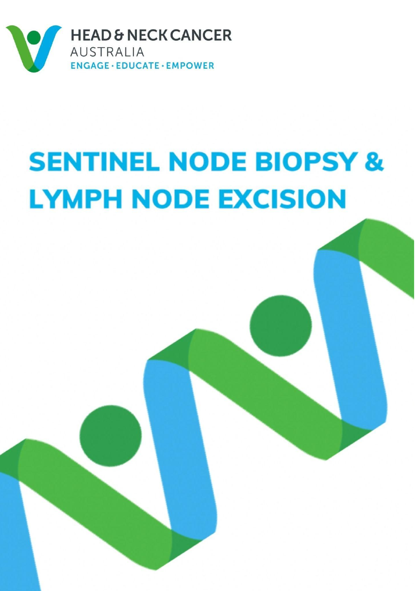

# **SENTINEL NODE BIOPSY & LYMPH NODE EXCISION**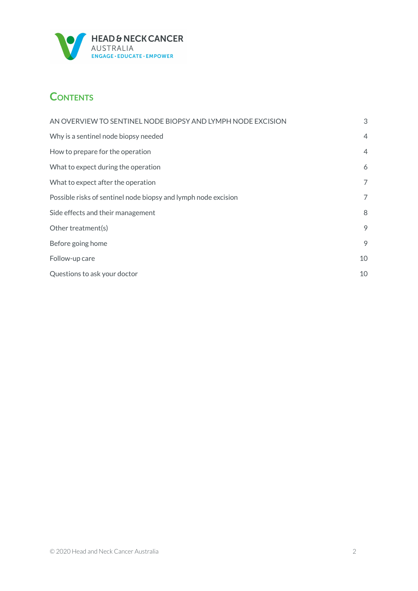

# **CONTENTS**

| AN OVERVIEW TO SENTINEL NODE BIOPSY AND LYMPH NODE EXCISION    | 3              |
|----------------------------------------------------------------|----------------|
| Why is a sentinel node biopsy needed                           | $\overline{4}$ |
| How to prepare for the operation                               | $\overline{4}$ |
| What to expect during the operation                            | 6              |
| What to expect after the operation                             | 7              |
| Possible risks of sentinel node biopsy and lymph node excision | 7              |
| Side effects and their management                              | 8              |
| Other treatment(s)                                             | 9              |
| Before going home                                              | 9              |
| Follow-up care                                                 | 10             |
| Questions to ask your doctor                                   | 10             |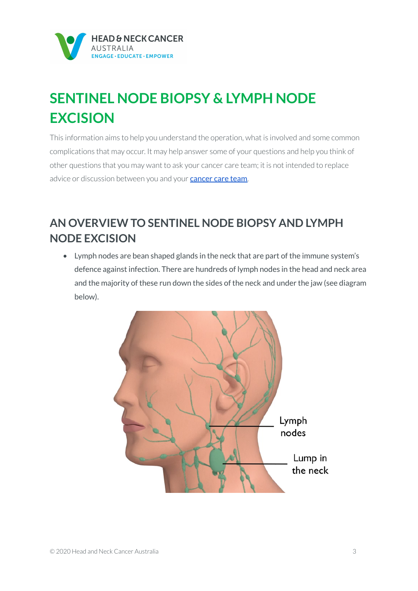

# **SENTINEL NODE BIOPSY & LYMPH NODE EXCISION**

This information aims to help you understand the operation, what is involved and some common complications that may occur. It may help answer some of your questions and help you think of other questions that you may want to ask your cancer care team; it is not intended to replace advice or discussion between you and your **[cancer](https://www.headandneckcancer.org.au/diagnosis/the-cancer-care-team) care team**.

# <span id="page-2-0"></span>**AN OVERVIEW TO SENTINEL NODE BIOPSY AND LYMPH NODE EXCISION**

• Lymph nodes are bean shaped glands in the neck that are part of the immune system's defence against infection. There are hundreds of lymph nodes in the head and neck area and the majority of these run down the sides of the neck and under the jaw (see diagram below).

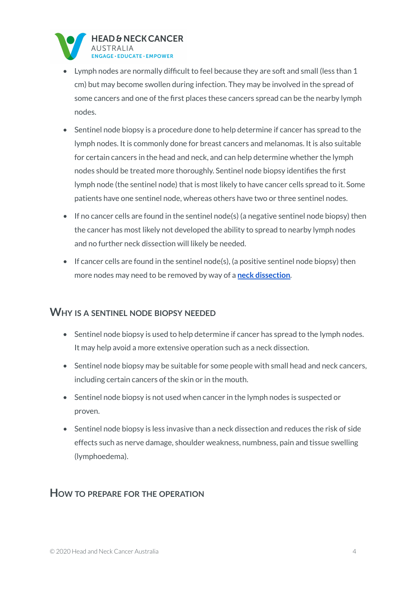

- Lymph nodes are normally difficult to feel because they are soft and small (less than 1 cm) but may become swollen during infection. They may be involved in the spread of some cancers and one of the first places these cancers spread can be the nearby lymph nodes.
- Sentinel node biopsy is a procedure done to help determine if cancer has spread to the lymph nodes. It is commonly done for breast cancers and melanomas. It is also suitable for certain cancers in the head and neck, and can help determine whether the lymph nodes should be treated more thoroughly. Sentinel node biopsy identifies the first lymph node (the sentinel node) that is most likely to have cancer cells spread to it. Some patients have one sentinel node, whereas others have two or three sentinel nodes.
- If no cancer cells are found in the sentinel node(s) (a negative sentinel node biopsy) then the cancer has most likely not developed the ability to spread to nearby lymph nodes and no further neck dissection will likely be needed.
- If cancer cells are found in the sentinel node(s), (a positive sentinel node biopsy) then more nodes may need to be removed by way of a **neck [dissection](https://www.headandneckcancer.org.au/BeyondFive/media/HANCA-Fact-Sheets/Neck-Dissection-HANCA2020.pdf)**.

#### <span id="page-3-0"></span>**WHY IS A SENTINEL NODE BIOPSY NEEDED**

- Sentinel node biopsy is used to help determine if cancer has spread to the lymph nodes. It may help avoid a more extensive operation such as a neck dissection.
- Sentinel node biopsy may be suitable for some people with small head and neck cancers, including certain cancers of the skin or in the mouth.
- Sentinel node biopsy is not used when cancer in the lymph nodes is suspected or proven.
- Sentinel node biopsy is less invasive than a neck dissection and reduces the risk of side effects such as nerve damage, shoulder weakness, numbness, pain and tissue swelling (lymphoedema).

#### <span id="page-3-1"></span>**HOW TO PREPARE FOR THE OPERATION**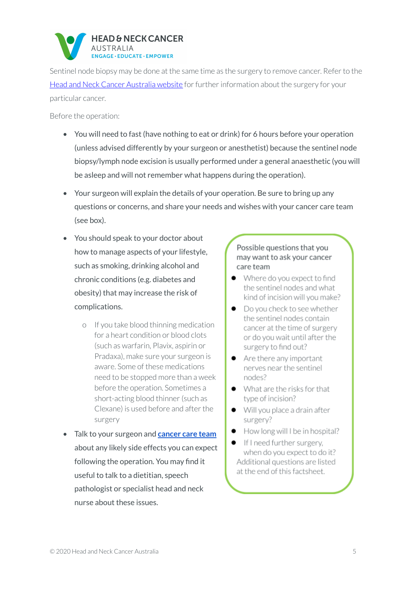

Sentinel node biopsy may be done at the same time as the surgery to remove cancer. Refer to the Head and Neck Cancer [Australia](http://www.beyondfive.org.au) website for further information about the surgery for your particular cancer.

Before the operation:

- You will need to fast (have nothing to eat or drink) for 6 hours before your operation (unless advised differently by your surgeon or anesthetist) because the sentinel node biopsy/lymph node excision is usually performed under a general anaesthetic (you will be asleep and will not remember what happens during the operation).
- Your surgeon will explain the details of your operation. Be sure to bring up any questions or concerns, and share your needs and wishes with your cancer care team (see box).
- You should speak to your doctor about how to manage aspects of your lifestyle, such as smoking, drinking alcohol and chronic conditions (e.g. diabetes and obesity) that may increase the risk of complications.
	- o If you take blood thinning medication for a heart condition or blood clots (such as warfarin, Plavix, aspirin or Pradaxa), make sure your surgeon is aware. Some of these medications need to be stopped more than a week before the operation. Sometimes a short-acting blood thinner(such as Clexane) is used before and after the surgery
- Talk to your surgeon and **[cancer](https://www.headandneckcancer.org.au/diagnosis/the-cancer-care-team) care team** about any likely side effects you can expect following the operation. You may find it useful to talk to a dietitian, speech pathologist or specialist head and neck nurse about these issues.

#### Possible questions that you may want to ask your cancer care team

- Where do you expect to find the sentinel nodes and what kind of incision will you make?
- Do you check to see whether the sentinel nodes contain cancer at the time of surgery or do you wait until after the surgery to find out?
- Are there any important nerves near the sentinel nodes?
- What are the risks for that type of incision?
- Will you place a drain after surgery?
- How long will I be in hospital?
- If I need further surgery. when do you expect to do it? Additional questions are listed at the end of this factsheet.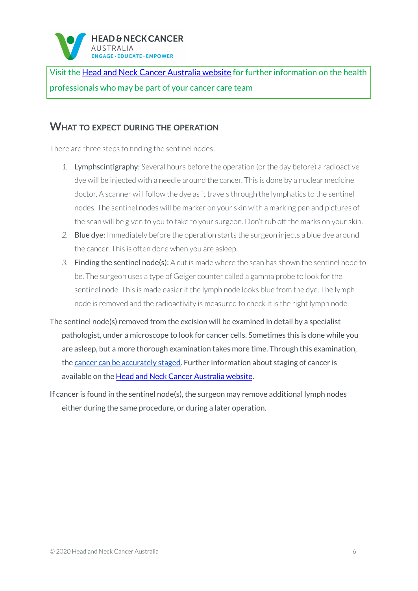

Visit the Head and Neck Cancer [Australia](http://www.beyondfive.org.au/) website for further information on the health professionals who may be part of your cancer care team

#### <span id="page-5-0"></span>**WHAT TO EXPECT DURING THE OPERATION**

There are three steps to finding the sentinel nodes:

- *1.* Lymphscintigraphy: Several hours before the operation (orthe day before) a radioactive dye will be injected with a needle around the cancer. This is done by a nuclear medicine doctor. A scanner will follow the dye as it travels through the lymphatics to the sentinel nodes. The sentinel nodes will be marker on your skin with a marking pen and pictures of the scan will be given to you to take to your surgeon. Don't rub off the marks on your skin.
- *2.* Blue dye: Immediately before the operation starts the surgeon injects a blue dye around the cancer. This is often done when you are asleep.
- *3.* Finding the sentinel node(s): A cut is made where the scan has shown the sentinel node to be. The surgeon uses a type of Geiger counter called a gamma probe to look for the sentinel node. This is made easier if the lymph node looks blue from the dye. The lymph node is removed and the radioactivity is measured to check it is the right lymph node.
- The sentinel node(s) removed from the excision will be examined in detail by a specialist pathologist, under a microscope to look for cancer cells. Sometimes this is done while you are asleep, but a more thorough examination takes more time. Through this examination, the cancer can be [accurately](https://www.headandneckcancer.org.au/diagnosis/staging-and-grading) staged. Further information about staging of cancer is available on the Head and Neck Cancer [Australia](http://www.beyondfive.org.au) website.
- If cancer is found in the sentinel node(s), the surgeon may remove additional lymph nodes either during the same procedure, or during a later operation.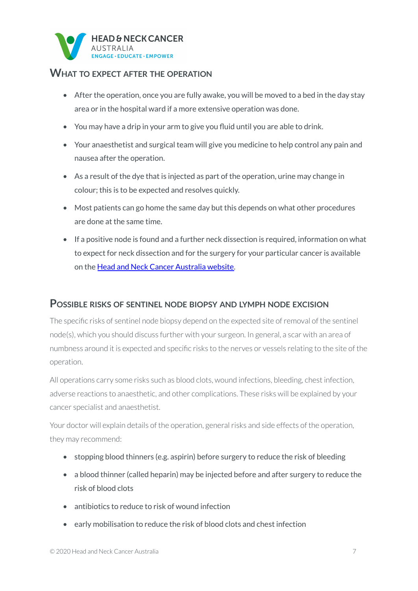

#### <span id="page-6-0"></span>**WHAT TO EXPECT AFTER THE OPERATION**

- After the operation, once you are fully awake, you will be moved to a bed in the day stay area or in the hospital ward if a more extensive operation was done.
- You may have a drip in your arm to give you fluid until you are able to drink.
- Your anaesthetist and surgical team will give you medicine to help control any pain and nausea after the operation.
- As a result of the dye that is injected as part of the operation, urine may change in colour; this is to be expected and resolves quickly.
- Most patients can go home the same day but this depends on what other procedures are done at the same time.
- If a positive node is found and a further neck dissection is required, information on what to expect for neck dissection and for the surgery for your particular cancer is available on the Head and Neck Cancer [Australia](http://www.beyondfive.org.au) website.

#### <span id="page-6-1"></span>**POSSIBLE RISKS OF SENTINEL NODE BIOPSY AND LYMPH NODE EXCISION**

The specific risks of sentinel node biopsy depend on the expected site ofremoval of the sentinel node(s), which you should discuss further with your surgeon. In general, a scar with an area of numbness around it is expected and specific risks to the nerves or vessels relating to the site of the operation.

All operations carry some risks such as blood clots, wound infections, bleeding, chest infection, adverse reactions to anaesthetic, and other complications. These risks will be explained by your cancer specialist and anaesthetist.

Your doctor will explain details of the operation, general risks and side effects of the operation, they may recommend:

- stopping blood thinners (e.g. aspirin) before surgery to reduce the risk of bleeding
- a blood thinner (called heparin) may be injected before and after surgery to reduce the risk of blood clots
- antibiotics to reduce to risk of wound infection
- early mobilisation to reduce the risk of blood clots and chest infection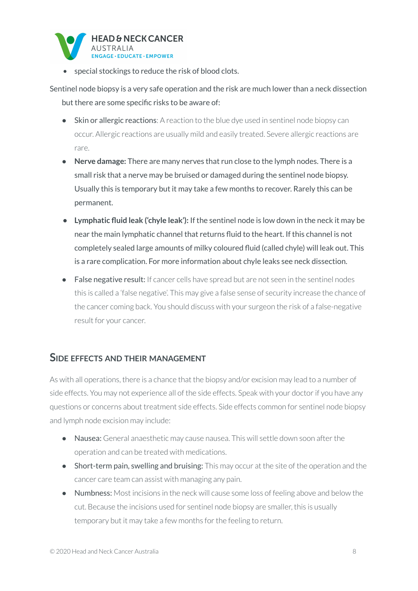

• special stockings to reduce the risk of blood clots.

Sentinel node biopsy is a very safe operation and the risk are much lower than a neck dissection but there are some specific risks to be aware of:

- Skin or allergic reactions: A reaction to the blue dye used in sentinel node biopsy can occur. Allergic reactions are usually mild and easily treated. Severe allergic reactions are rare.
- **Nerve damage:** There are many nerves that run close to the lymph nodes. There is a small risk that a nerve may be bruised or damaged during the sentinel node biopsy. Usually this is temporary but it may take a few months to recover. Rarely this can be permanent.
- **• Lymphatic fluid leak ('chyle leak'):** If the sentinel node is low down in the neck it may be near the main lymphatic channel that returns fluid to the heart. If this channel is not completely sealed large amounts of milky coloured fluid (called chyle) will leak out. This is a rare complication. For more information about chyle leaks see neck dissection.
- False negative result: If cancer cells have spread but are not seen in the sentinel nodes this is called a 'false negative'. This may give a false sense of security increase the chance of the cancer coming back. You should discuss with your surgeon the risk of a false-negative result for your cancer.

#### <span id="page-7-0"></span>**SIDE EFFECTS AND THEIR MANAGEMENT**

As with all operations, there is a chance that the biopsy and/or excision may lead to a number of side effects. You may not experience all of the side effects. Speak with your doctor if you have any questions or concerns about treatment side effects. Side effects common for sentinel node biopsy and lymph node excision may include:

- Nausea: General anaesthetic may cause nausea. This will settle down soon after the operation and can be treated with medications.
- Short-term pain, swelling and bruising: This may occur at the site of the operation and the cancer care team can assist with managing any pain.
- Numbness: Most incisions in the neck will cause some loss of feeling above and below the cut. Because the incisions used for sentinel node biopsy are smaller, this is usually temporary but it may take a few months for the feeling to return.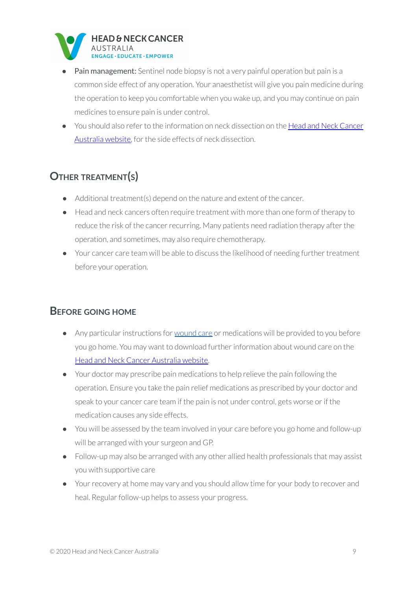

- Pain management: Sentinel node biopsy is not a very painful operation but pain is a common side effect of any operation. Your anaesthetist will give you pain medicine during the operation to keep you comfortable when you wake up, and you may continue on pain medicines to ensure pain is under control.
- You should also refer to the information on neck dissection on the Head and Neck [Cancer](http://www.beyondfive.org.au) [Australia](http://www.beyondfive.org.au) website, for the side effects of neck dissection.

# <span id="page-8-0"></span>**OTHER TREATMENT(S)**

- Additional treatment(s) depend on the nature and extent of the cancer.
- Head and neck cancers often require treatment with more than one form of therapy to reduce the risk of the cancer recurring. Many patients need radiation therapy after the operation, and sometimes, may also require chemotherapy.
- Your cancer care team will be able to discuss the likelihood of needing further treatment before your operation.

# <span id="page-8-1"></span>**BEFORE GOING HOME**

- Any particular instructions for [wound](https://www.headandneckcancer.org.au/BeyondFive/media/HANCA-Fact-Sheets/Wound-Care-After-Surgery-HANCA2020.pdf) care or medications will be provided to you before you go home. You may want to download further information about wound care on the Head and Neck Cancer [Australia](http://www.beyondfive.org.au) website.
- Your doctor may prescribe pain medications to help relieve the pain following the operation. Ensure you take the pain relief medications as prescribed by your doctor and speak to your cancer care team if the pain is not under control, gets worse or if the medication causes any side effects.
- You will be assessed by the team involved in your care before you go home and follow-up will be arranged with your surgeon and GP.
- Follow-up may also be arranged with any other allied health professionals that may assist you with supportive care
- Your recovery at home may vary and you should allow time for your body to recover and heal. Regular follow-up helps to assess your progress.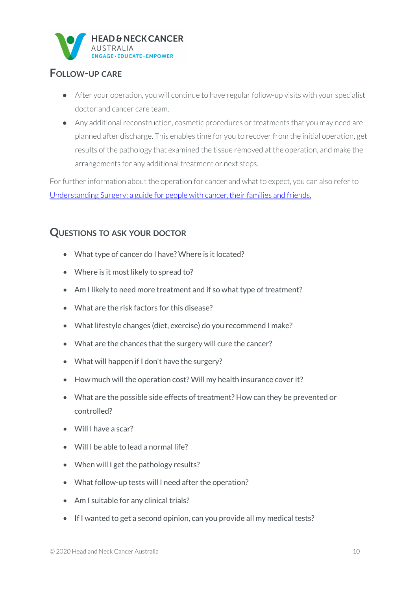

## <span id="page-9-0"></span>**FOLLOW-UP CARE**

- After your operation, you will continue to have regular follow-up visits with your specialist doctor and cancer care team.
- Any additional reconstruction, cosmetic procedures or treatments that you may need are planned after discharge. This enables time for you to recover from the initial operation, get results of the pathology that examined the tissue removed at the operation, and make the arrangements for any additional treatment or next steps.

For further information about the operation for cancer and what to expect, you can also refer to [Understanding](http://www.cancer.org.au/content/about_cancer/treatment/Understanding-Surgery_booklet_April_2016.pdf) Surgery: a guide for people with cancer, their families and friends.

## <span id="page-9-1"></span>**QUESTIONS TO ASK YOUR DOCTOR**

- What type of cancer do I have? Where is it located?
- Where is it most likely to spread to?
- Am I likely to need more treatment and if so what type of treatment?
- What are the risk factors for this disease?
- What lifestyle changes (diet, exercise) do you recommend I make?
- What are the chances that the surgery will cure the cancer?
- What will happen if I don't have the surgery?
- How much will the operation cost? Will my health insurance cover it?
- What are the possible side effects of treatment? How can they be prevented or controlled?
- Will I have a scar?
- Will I be able to lead a normal life?
- When will I get the pathology results?
- What follow-up tests will I need after the operation?
- Am I suitable for any clinical trials?
- If I wanted to get a second opinion, can you provide all my medical tests?